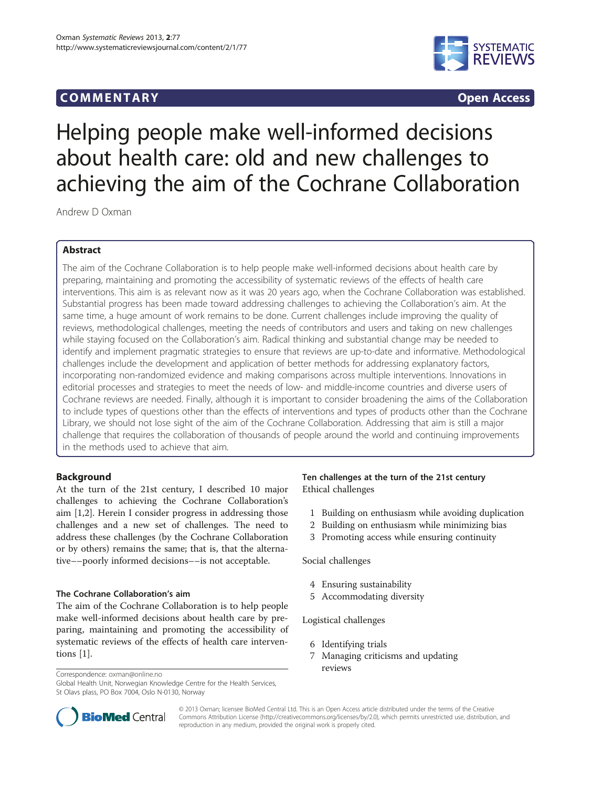# COMM EN TARY Open Access



# Helping people make well-informed decisions about health care: old and new challenges to achieving the aim of the Cochrane Collaboration

Andrew D Oxman

# Abstract

The aim of the Cochrane Collaboration is to help people make well-informed decisions about health care by preparing, maintaining and promoting the accessibility of systematic reviews of the effects of health care interventions. This aim is as relevant now as it was 20 years ago, when the Cochrane Collaboration was established. Substantial progress has been made toward addressing challenges to achieving the Collaboration's aim. At the same time, a huge amount of work remains to be done. Current challenges include improving the quality of reviews, methodological challenges, meeting the needs of contributors and users and taking on new challenges while staying focused on the Collaboration's aim. Radical thinking and substantial change may be needed to identify and implement pragmatic strategies to ensure that reviews are up-to-date and informative. Methodological challenges include the development and application of better methods for addressing explanatory factors, incorporating non-randomized evidence and making comparisons across multiple interventions. Innovations in editorial processes and strategies to meet the needs of low- and middle-income countries and diverse users of Cochrane reviews are needed. Finally, although it is important to consider broadening the aims of the Collaboration to include types of questions other than the effects of interventions and types of products other than the Cochrane Library, we should not lose sight of the aim of the Cochrane Collaboration. Addressing that aim is still a major challenge that requires the collaboration of thousands of people around the world and continuing improvements in the methods used to achieve that aim.

# Background

At the turn of the 21st century, I described 10 major challenges to achieving the Cochrane Collaboration's aim [\[1,2](#page-3-0)]. Herein I consider progress in addressing those challenges and a new set of challenges. The need to address these challenges (by the Cochrane Collaboration or by others) remains the same; that is, that the alternative––poorly informed decisions––is not acceptable.

## The Cochrane Collaboration's aim

The aim of the Cochrane Collaboration is to help people make well-informed decisions about health care by preparing, maintaining and promoting the accessibility of systematic reviews of the effects of health care interventions [[1\]](#page-3-0).

Correspondence: [oxman@online.no](mailto:oxman@online.no)

Global Health Unit, Norwegian Knowledge Centre for the Health Services, St Olavs plass, PO Box 7004, Oslo N-0130, Norway

# Ten challenges at the turn of the 21st century Ethical challenges

- 1 Building on enthusiasm while avoiding duplication
- 2 Building on enthusiasm while minimizing bias
- 3 Promoting access while ensuring continuity

Social challenges

- 4 Ensuring sustainability
- 5 Accommodating diversity

Logistical challenges

- 6 Identifying trials
- 7 Managing criticisms and updating reviews



© 2013 Oxman; licensee BioMed Central Ltd. This is an Open Access article distributed under the terms of the Creative Commons Attribution License [\(http://creativecommons.org/licenses/by/2.0\)](http://creativecommons.org/licenses/by/2.0), which permits unrestricted use, distribution, and reproduction in any medium, provided the original work is properly cited.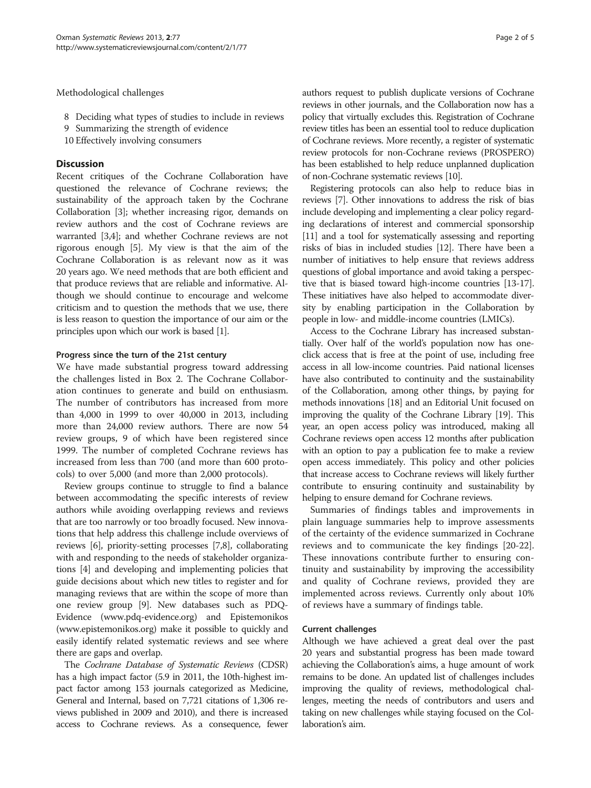Methodological challenges

- 8 Deciding what types of studies to include in reviews
- 9 Summarizing the strength of evidence
- 10 Effectively involving consumers

## **Discussion**

Recent critiques of the Cochrane Collaboration have questioned the relevance of Cochrane reviews; the sustainability of the approach taken by the Cochrane Collaboration [[3\]](#page-3-0); whether increasing rigor, demands on review authors and the cost of Cochrane reviews are warranted [[3,4](#page-3-0)]; and whether Cochrane reviews are not rigorous enough [\[5\]](#page-3-0). My view is that the aim of the Cochrane Collaboration is as relevant now as it was 20 years ago. We need methods that are both efficient and that produce reviews that are reliable and informative. Although we should continue to encourage and welcome criticism and to question the methods that we use, there is less reason to question the importance of our aim or the principles upon which our work is based [\[1\]](#page-3-0).

## Progress since the turn of the 21st century

We have made substantial progress toward addressing the challenges listed in Box 2. The Cochrane Collaboration continues to generate and build on enthusiasm. The number of contributors has increased from more than 4,000 in 1999 to over 40,000 in 2013, including more than 24,000 review authors. There are now 54 review groups, 9 of which have been registered since 1999. The number of completed Cochrane reviews has increased from less than 700 (and more than 600 protocols) to over 5,000 (and more than 2,000 protocols).

Review groups continue to struggle to find a balance between accommodating the specific interests of review authors while avoiding overlapping reviews and reviews that are too narrowly or too broadly focused. New innovations that help address this challenge include overviews of reviews [[6\]](#page-3-0), priority-setting processes [\[7,8](#page-3-0)], collaborating with and responding to the needs of stakeholder organizations [[4](#page-3-0)] and developing and implementing policies that guide decisions about which new titles to register and for managing reviews that are within the scope of more than one review group [[9\]](#page-3-0). New databases such as PDQ-Evidence [\(www.pdq-evidence.org\)](http://www.pdq-evidence.org) and Epistemonikos ([www.epistemonikos.org\)](http://www.epistemonikos.org) make it possible to quickly and easily identify related systematic reviews and see where there are gaps and overlap.

The Cochrane Database of Systematic Reviews (CDSR) has a high impact factor (5.9 in 2011, the 10th-highest impact factor among 153 journals categorized as Medicine, General and Internal, based on 7,721 citations of 1,306 reviews published in 2009 and 2010), and there is increased access to Cochrane reviews. As a consequence, fewer authors request to publish duplicate versions of Cochrane reviews in other journals, and the Collaboration now has a policy that virtually excludes this. Registration of Cochrane review titles has been an essential tool to reduce duplication of Cochrane reviews. More recently, a register of systematic review protocols for non-Cochrane reviews (PROSPERO) has been established to help reduce unplanned duplication of non-Cochrane systematic reviews [[10](#page-3-0)].

Registering protocols can also help to reduce bias in reviews [[7\]](#page-3-0). Other innovations to address the risk of bias include developing and implementing a clear policy regarding declarations of interest and commercial sponsorship [[11](#page-3-0)] and a tool for systematically assessing and reporting risks of bias in included studies [\[12](#page-3-0)]. There have been a number of initiatives to help ensure that reviews address questions of global importance and avoid taking a perspective that is biased toward high-income countries [\[13](#page-3-0)[-17](#page-4-0)]. These initiatives have also helped to accommodate diversity by enabling participation in the Collaboration by people in low- and middle-income countries (LMICs).

Access to the Cochrane Library has increased substantially. Over half of the world's population now has oneclick access that is free at the point of use, including free access in all low-income countries. Paid national licenses have also contributed to continuity and the sustainability of the Collaboration, among other things, by paying for methods innovations [\[18\]](#page-4-0) and an Editorial Unit focused on improving the quality of the Cochrane Library [\[19\]](#page-4-0). This year, an open access policy was introduced, making all Cochrane reviews open access 12 months after publication with an option to pay a publication fee to make a review open access immediately. This policy and other policies that increase access to Cochrane reviews will likely further contribute to ensuring continuity and sustainability by helping to ensure demand for Cochrane reviews.

Summaries of findings tables and improvements in plain language summaries help to improve assessments of the certainty of the evidence summarized in Cochrane reviews and to communicate the key findings [\[20-22](#page-4-0)]. These innovations contribute further to ensuring continuity and sustainability by improving the accessibility and quality of Cochrane reviews, provided they are implemented across reviews. Currently only about 10% of reviews have a summary of findings table.

## Current challenges

Although we have achieved a great deal over the past 20 years and substantial progress has been made toward achieving the Collaboration's aims, a huge amount of work remains to be done. An updated list of challenges includes improving the quality of reviews, methodological challenges, meeting the needs of contributors and users and taking on new challenges while staying focused on the Collaboration's aim.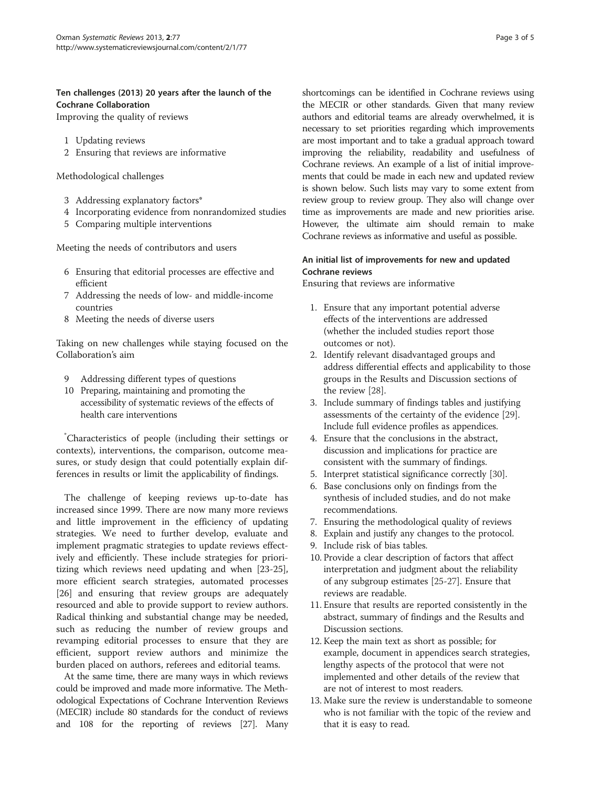# Ten challenges (2013) 20 years after the launch of the Cochrane Collaboration

Improving the quality of reviews

- 1 Updating reviews
- 2 Ensuring that reviews are informative

Methodological challenges

- 3 Addressing explanatory factors\*
- 4 Incorporating evidence from nonrandomized studies
- 5 Comparing multiple interventions

Meeting the needs of contributors and users

- 6 Ensuring that editorial processes are effective and efficient
- 7 Addressing the needs of low- and middle-income countries
- 8 Meeting the needs of diverse users

Taking on new challenges while staying focused on the Collaboration's aim

- 9 Addressing different types of questions
- 10 Preparing, maintaining and promoting the accessibility of systematic reviews of the effects of health care interventions

\* Characteristics of people (including their settings or contexts), interventions, the comparison, outcome measures, or study design that could potentially explain differences in results or limit the applicability of findings.

The challenge of keeping reviews up-to-date has increased since 1999. There are now many more reviews and little improvement in the efficiency of updating strategies. We need to further develop, evaluate and implement pragmatic strategies to update reviews effectively and efficiently. These include strategies for prioritizing which reviews need updating and when [\[23-25](#page-4-0)], more efficient search strategies, automated processes [[26\]](#page-4-0) and ensuring that review groups are adequately resourced and able to provide support to review authors. Radical thinking and substantial change may be needed, such as reducing the number of review groups and revamping editorial processes to ensure that they are efficient, support review authors and minimize the burden placed on authors, referees and editorial teams.

At the same time, there are many ways in which reviews could be improved and made more informative. The Methodological Expectations of Cochrane Intervention Reviews (MECIR) include 80 standards for the conduct of reviews and 108 for the reporting of reviews [\[27](#page-4-0)]. Many

shortcomings can be identified in Cochrane reviews using the MECIR or other standards. Given that many review authors and editorial teams are already overwhelmed, it is necessary to set priorities regarding which improvements are most important and to take a gradual approach toward improving the reliability, readability and usefulness of Cochrane reviews. An example of a list of initial improvements that could be made in each new and updated review is shown below. Such lists may vary to some extent from review group to review group. They also will change over time as improvements are made and new priorities arise. However, the ultimate aim should remain to make Cochrane reviews as informative and useful as possible.

# An initial list of improvements for new and updated Cochrane reviews

Ensuring that reviews are informative

- 1. Ensure that any important potential adverse effects of the interventions are addressed (whether the included studies report those outcomes or not).
- 2. Identify relevant disadvantaged groups and address differential effects and applicability to those groups in the Results and Discussion sections of the review [\[28\]](#page-4-0).
- 3. Include summary of findings tables and justifying assessments of the certainty of the evidence [\[29\]](#page-4-0). Include full evidence profiles as appendices.
- 4. Ensure that the conclusions in the abstract, discussion and implications for practice are consistent with the summary of findings.
- 5. Interpret statistical significance correctly [[30](#page-4-0)].
- 6. Base conclusions only on findings from the synthesis of included studies, and do not make recommendations.
- 7. Ensuring the methodological quality of reviews
- 8. Explain and justify any changes to the protocol.
- 9. Include risk of bias tables.
- 10. Provide a clear description of factors that affect interpretation and judgment about the reliability of any subgroup estimates [[25](#page-4-0)-[27](#page-4-0)]. Ensure that reviews are readable.
- 11. Ensure that results are reported consistently in the abstract, summary of findings and the Results and Discussion sections.
- 12. Keep the main text as short as possible; for example, document in appendices search strategies, lengthy aspects of the protocol that were not implemented and other details of the review that are not of interest to most readers.
- 13. Make sure the review is understandable to someone who is not familiar with the topic of the review and that it is easy to read.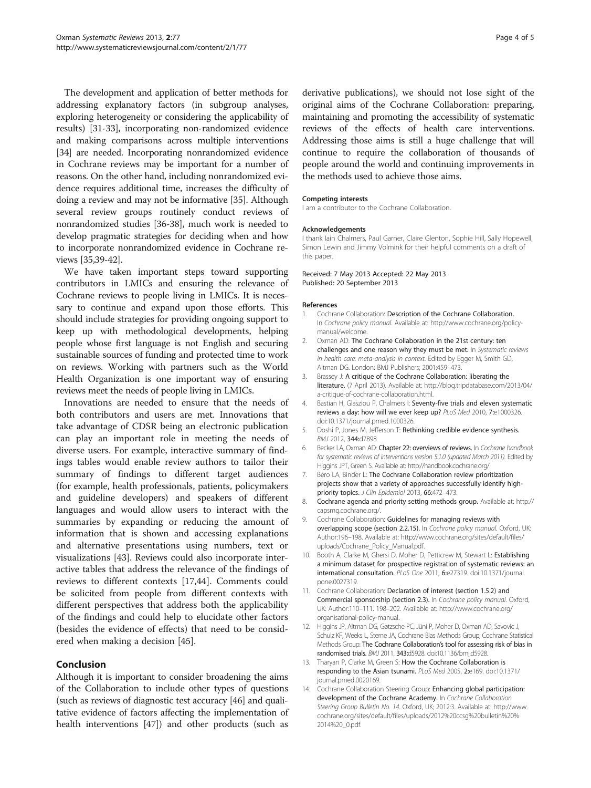<span id="page-3-0"></span>The development and application of better methods for addressing explanatory factors (in subgroup analyses, exploring heterogeneity or considering the applicability of results) [[31](#page-4-0)-[33](#page-4-0)], incorporating non-randomized evidence and making comparisons across multiple interventions [[34](#page-4-0)] are needed. Incorporating nonrandomized evidence in Cochrane reviews may be important for a number of reasons. On the other hand, including nonrandomized evidence requires additional time, increases the difficulty of doing a review and may not be informative [\[35\]](#page-4-0). Although several review groups routinely conduct reviews of nonrandomized studies [\[36-38\]](#page-4-0), much work is needed to develop pragmatic strategies for deciding when and how to incorporate nonrandomized evidence in Cochrane reviews [\[35,39](#page-4-0)-[42](#page-4-0)].

We have taken important steps toward supporting contributors in LMICs and ensuring the relevance of Cochrane reviews to people living in LMICs. It is necessary to continue and expand upon those efforts. This should include strategies for providing ongoing support to keep up with methodological developments, helping people whose first language is not English and securing sustainable sources of funding and protected time to work on reviews. Working with partners such as the World Health Organization is one important way of ensuring reviews meet the needs of people living in LMICs.

Innovations are needed to ensure that the needs of both contributors and users are met. Innovations that take advantage of CDSR being an electronic publication can play an important role in meeting the needs of diverse users. For example, interactive summary of findings tables would enable review authors to tailor their summary of findings to different target audiences (for example, health professionals, patients, policymakers and guideline developers) and speakers of different languages and would allow users to interact with the summaries by expanding or reducing the amount of information that is shown and accessing explanations and alternative presentations using numbers, text or visualizations [[43\]](#page-4-0). Reviews could also incorporate interactive tables that address the relevance of the findings of reviews to different contexts [\[17,44](#page-4-0)]. Comments could be solicited from people from different contexts with different perspectives that address both the applicability of the findings and could help to elucidate other factors (besides the evidence of effects) that need to be considered when making a decision [\[45](#page-4-0)].

## Conclusion

Although it is important to consider broadening the aims of the Collaboration to include other types of questions (such as reviews of diagnostic test accuracy [[46](#page-4-0)] and qualitative evidence of factors affecting the implementation of health interventions [[47](#page-4-0)]) and other products (such as derivative publications), we should not lose sight of the original aims of the Cochrane Collaboration: preparing, maintaining and promoting the accessibility of systematic reviews of the effects of health care interventions. Addressing those aims is still a huge challenge that will continue to require the collaboration of thousands of people around the world and continuing improvements in the methods used to achieve those aims.

## Competing interests

I am a contributor to the Cochrane Collaboration.

## Acknowledgements

I thank Iain Chalmers, Paul Garner, Claire Glenton, Sophie Hill, Sally Hopewell, Simon Lewin and Jimmy Volmink for their helpful comments on a draft of this paper.

## Received: 7 May 2013 Accepted: 22 May 2013 Published: 20 September 2013

## References

- Cochrane Collaboration: Description of the Cochrane Collaboration. In Cochrane policy manual. Available at: [http://www.cochrane.org/policy](http://www.cochrane.org/policy-manual/welcome)[manual/welcome](http://www.cochrane.org/policy-manual/welcome).
- 2. Oxman AD: The Cochrane Collaboration in the 21st century: ten challenges and one reason why they must be met. In Systematic reviews in health care: meta-analysis in context. Edited by Egger M, Smith GD, Altman DG. London: BMJ Publishers; 2001:459–473.
- 3. Brassey J: A critique of the Cochrane Collaboration: liberating the literature. (7 April 2013). Available at: [http://blog.tripdatabase.com/2013/04/](http://blog.tripdatabase.com/2013/04/a-critique-of-cochrane-collaboration.html) [a-critique-of-cochrane-collaboration.html.](http://blog.tripdatabase.com/2013/04/a-critique-of-cochrane-collaboration.html)
- 4. Bastian H, Glasziou P, Chalmers I: Seventy-five trials and eleven systematic reviews a day: how will we ever keep up? PLoS Med 2010, 7:e1000326. doi:10.1371/journal.pmed.1000326.
- 5. Doshi P, Jones M, Jefferson T: Rethinking credible evidence synthesis. BMJ 2012, 344:d7898.
- 6. Becker LA, Oxman AD: Chapter 22: overviews of reviews. In Cochrane handbook for systematic reviews of interventions version 5.1.0 (updated March 2011). Edited by Higgins JPT, Green S. Available at:<http://handbook.cochrane.org/>.
- 7. Bero LA, Binder L: The Cochrane Collaboration review prioritization projects show that a variety of approaches successfully identify highpriority topics. J Clin Epidemiol 2013, 66:472-473.
- 8. Cochrane agenda and priority setting methods group. Available at: [http://](http://capsmg.cochrane.org/) [capsmg.cochrane.org/.](http://capsmg.cochrane.org/)
- 9. Cochrane Collaboration: Guidelines for managing reviews with overlapping scope (section 2.2.15). In Cochrane policy manual. Oxford, UK: Author:196–198. Available at: [http://www.cochrane.org/sites/default/files/](http://www.cochrane.org/sites/default/files/uploads/Cochrane_Policy_Manual.pdf) [uploads/Cochrane\\_Policy\\_Manual.pdf](http://www.cochrane.org/sites/default/files/uploads/Cochrane_Policy_Manual.pdf).
- 10. Booth A, Clarke M, Ghersi D, Moher D, Petticrew M, Stewart L: Establishing a minimum dataset for prospective registration of systematic reviews: an international consultation. PLoS One 2011, 6:e27319. doi:10.1371/journal. pone.0027319.
- 11. Cochrane Collaboration: Declaration of interest (section 1.5.2) and Commercial sponsorship (section 2.3). In Cochrane policy manual. Oxford, UK: Author:110–111. 198–202. Available at: [http://www.cochrane.org/](http://www.cochrane.org/organisational-policy-manual) [organisational-policy-manual.](http://www.cochrane.org/organisational-policy-manual)
- 12. Higgins JP, Altman DG, Gøtzsche PC, Jüni P, Moher D, Oxman AD, Savovic J, Schulz KF, Weeks L, Sterne JA, Cochrane Bias Methods Group; Cochrane Statistical Methods Group: The Cochrane Collaboration's tool for assessing risk of bias in randomised trials. BMJ 2011, 343:d5928. doi:10.1136/bmj.d5928.
- 13. Tharyan P, Clarke M, Green S: How the Cochrane Collaboration is responding to the Asian tsunami. PLoS Med 2005, 2:e169. doi:10.1371/ journal.pmed.0020169.
- 14. Cochrane Collaboration Steering Group: Enhancing global participation: development of the Cochrane Academy. In Cochrane Collaboration Steering Group Bulletin No. 14. Oxford, UK; 2012:3. Available at: [http://www.](http://www.cochrane.org/sites/default/files/uploads/2012%20ccsg%20bulletin%20%2014%20_0.pdf) [cochrane.org/sites/default/files/uploads/2012%20ccsg%20bulletin%20%](http://www.cochrane.org/sites/default/files/uploads/2012%20ccsg%20bulletin%20%2014%20_0.pdf) [2014%20\\_0.pdf](http://www.cochrane.org/sites/default/files/uploads/2012%20ccsg%20bulletin%20%2014%20_0.pdf).